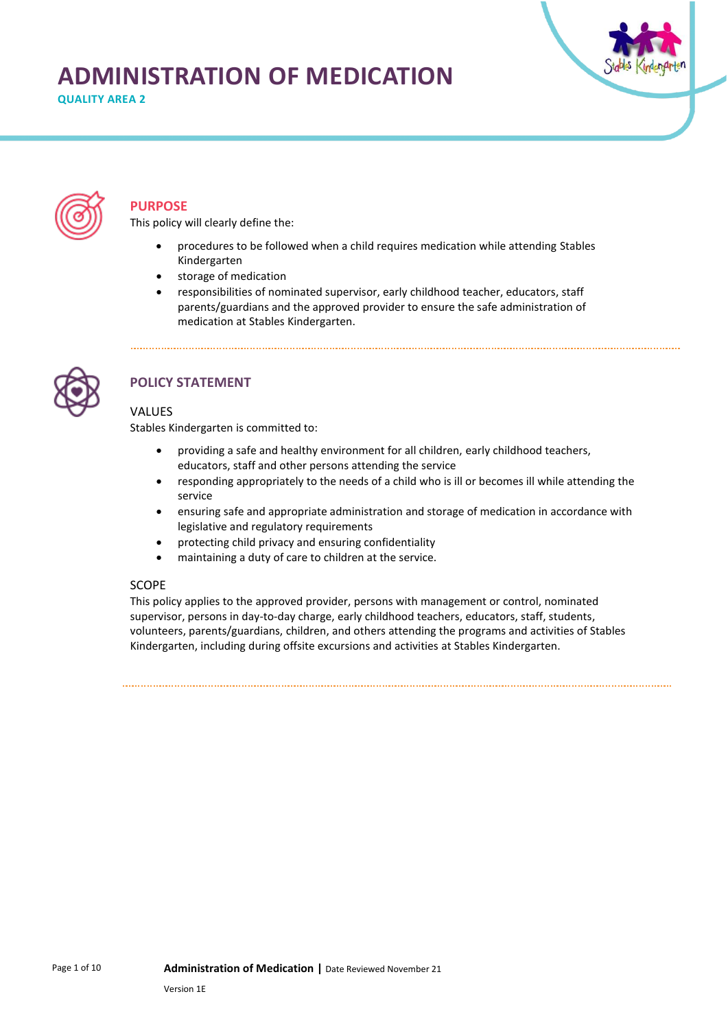# **ADMINISTRATION OF MEDICATION**

**QUALITY AREA 2** 





## **PURPOSE**

This policy will clearly define the:

- procedures to be followed when a child requires medication while attending Stables Kindergarten
- storage of medication
- responsibilities of nominated supervisor, early childhood teacher, educators, staff parents/guardians and the approved provider to ensure the safe administration of medication at Stables Kindergarten.



# **POLICY STATEMENT**

## VALUES

Stables Kindergarten is committed to:

- providing a safe and healthy environment for all children, early childhood teachers, educators, staff and other persons attending the service
- responding appropriately to the needs of a child who is ill or becomes ill while attending the service
- ensuring safe and appropriate administration and storage of medication in accordance with legislative and regulatory requirements
- protecting child privacy and ensuring confidentiality
- maintaining a duty of care to children at the service.

## **SCOPE**

This policy applies to the approved provider, persons with management or control, nominated supervisor, persons in day-to-day charge, early childhood teachers, educators, staff, students, volunteers, parents/guardians, children, and others attending the programs and activities of Stables Kindergarten, including during offsite excursions and activities at Stables Kindergarten.

Page 1 of 10 **Administration of Medication |** Date Reviewed November 21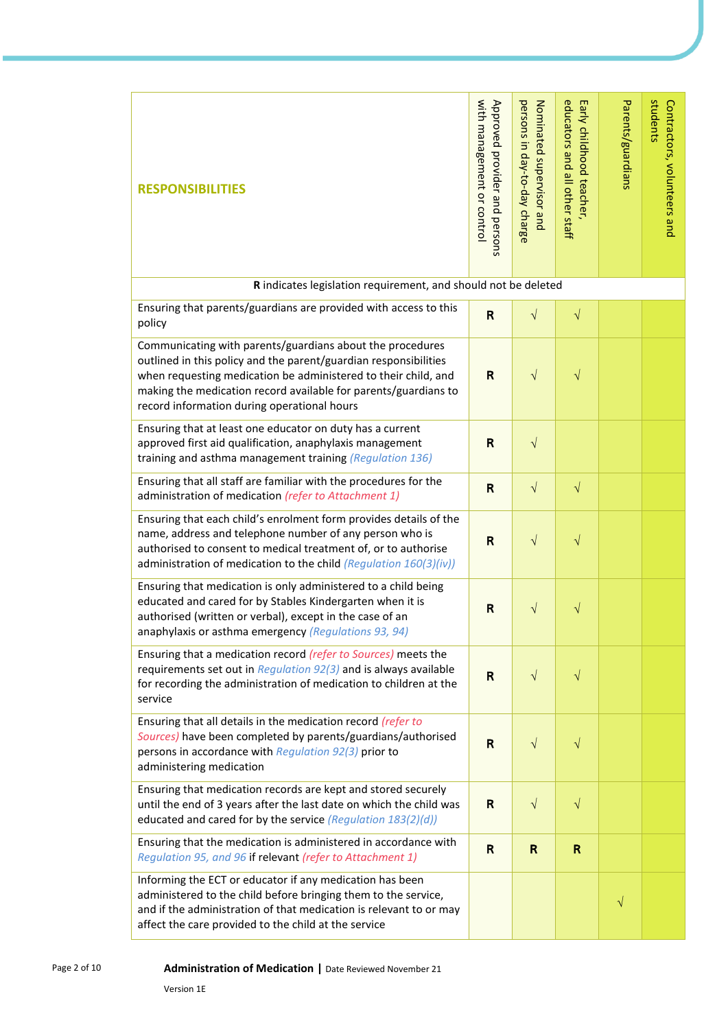| <b>RESPONSIBILITIES</b>                                                                                                                                                                                                                                                                                           | with management or control<br>Approved provider and persons | persons in day-to-day charge<br>Nominated supervisor and | educators and all other staff<br>Early childhood teacher, | Parents/guardians | students<br>Contractors, volunteers and |
|-------------------------------------------------------------------------------------------------------------------------------------------------------------------------------------------------------------------------------------------------------------------------------------------------------------------|-------------------------------------------------------------|----------------------------------------------------------|-----------------------------------------------------------|-------------------|-----------------------------------------|
| R indicates legislation requirement, and should not be deleted                                                                                                                                                                                                                                                    |                                                             |                                                          |                                                           |                   |                                         |
| Ensuring that parents/guardians are provided with access to this<br>policy                                                                                                                                                                                                                                        | $\mathsf{R}$                                                | $\sqrt{}$                                                | $\sqrt{}$                                                 |                   |                                         |
| Communicating with parents/guardians about the procedures<br>outlined in this policy and the parent/guardian responsibilities<br>when requesting medication be administered to their child, and<br>making the medication record available for parents/guardians to<br>record information during operational hours | $\mathsf{R}$                                                | $\sqrt{}$                                                | $\sqrt{}$                                                 |                   |                                         |
| Ensuring that at least one educator on duty has a current<br>approved first aid qualification, anaphylaxis management<br>training and asthma management training (Regulation 136)                                                                                                                                 | R                                                           | $\sqrt{ }$                                               |                                                           |                   |                                         |
| Ensuring that all staff are familiar with the procedures for the<br>administration of medication (refer to Attachment 1)                                                                                                                                                                                          | $\mathsf{R}$                                                | $\sqrt{ }$                                               | $\sqrt{}$                                                 |                   |                                         |
| Ensuring that each child's enrolment form provides details of the<br>name, address and telephone number of any person who is<br>authorised to consent to medical treatment of, or to authorise<br>administration of medication to the child (Regulation 160(3)(iv))                                               | $\mathsf{R}$                                                | $\sqrt{}$                                                | $\sqrt{}$                                                 |                   |                                         |
| Ensuring that medication is only administered to a child being<br>educated and cared for by Stables Kindergarten when it is<br>authorised (written or verbal), except in the case of an<br>anaphylaxis or asthma emergency (Regulations 93, 94)                                                                   | R                                                           | $\sqrt{}$                                                | V                                                         |                   |                                         |
| Ensuring that a medication record (refer to Sources) meets the<br>requirements set out in Regulation $92(3)$ and is always available<br>for recording the administration of medication to children at the<br>service                                                                                              | R                                                           | $\sqrt{}$                                                | $\sqrt{}$                                                 |                   |                                         |
| Ensuring that all details in the medication record (refer to<br>Sources) have been completed by parents/guardians/authorised<br>persons in accordance with Regulation 92(3) prior to<br>administering medication                                                                                                  | $\overline{\mathsf{R}}$                                     | $\sqrt{ }$                                               | $\sqrt{}$                                                 |                   |                                         |
| Ensuring that medication records are kept and stored securely<br>until the end of 3 years after the last date on which the child was<br>educated and cared for by the service (Regulation 183(2)(d))                                                                                                              | R                                                           | $\sqrt{ }$                                               | $\sqrt{}$                                                 |                   |                                         |
| Ensuring that the medication is administered in accordance with<br>Regulation 95, and 96 if relevant (refer to Attachment 1)                                                                                                                                                                                      | $\mathsf{R}$                                                | R                                                        | R                                                         |                   |                                         |
| Informing the ECT or educator if any medication has been<br>administered to the child before bringing them to the service,<br>and if the administration of that medication is relevant to or may<br>affect the care provided to the child at the service                                                          |                                                             |                                                          |                                                           | $\sqrt{}$         |                                         |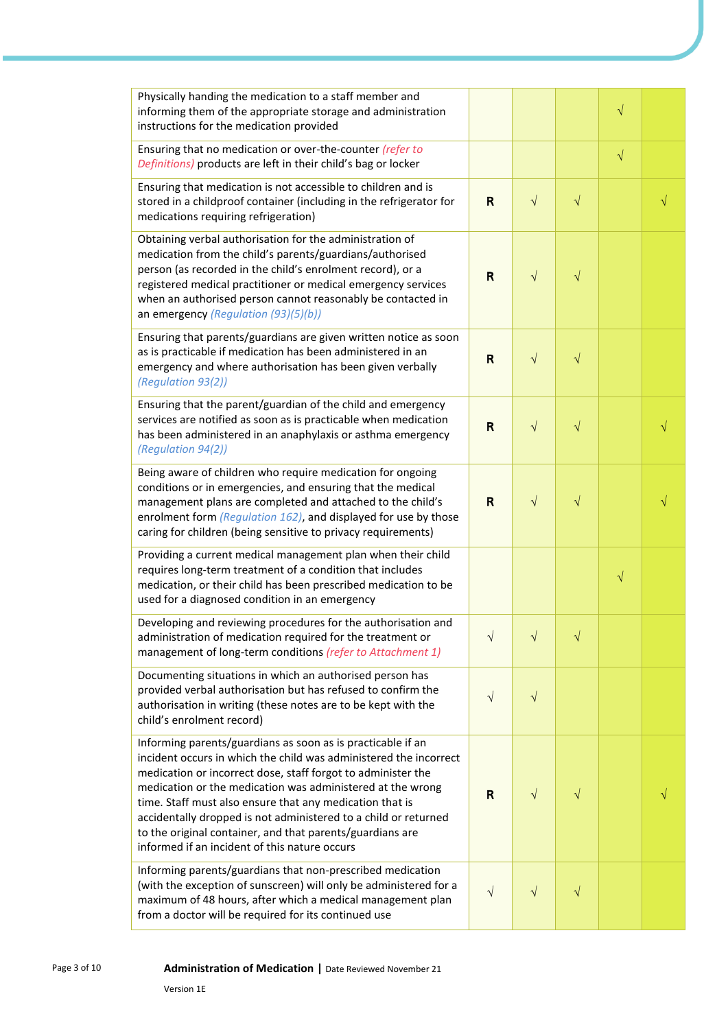| Physically handing the medication to a staff member and<br>informing them of the appropriate storage and administration<br>instructions for the medication provided                                                                                                                                                                                                                                                                                                                                         |            |            |           | $\sqrt{}$ |  |
|-------------------------------------------------------------------------------------------------------------------------------------------------------------------------------------------------------------------------------------------------------------------------------------------------------------------------------------------------------------------------------------------------------------------------------------------------------------------------------------------------------------|------------|------------|-----------|-----------|--|
| Ensuring that no medication or over-the-counter (refer to<br>Definitions) products are left in their child's bag or locker                                                                                                                                                                                                                                                                                                                                                                                  |            |            |           | $\sqrt{}$ |  |
| Ensuring that medication is not accessible to children and is<br>stored in a childproof container (including in the refrigerator for<br>medications requiring refrigeration)                                                                                                                                                                                                                                                                                                                                | R          | $\sqrt{ }$ | $\sqrt{}$ |           |  |
| Obtaining verbal authorisation for the administration of<br>medication from the child's parents/guardians/authorised<br>person (as recorded in the child's enrolment record), or a<br>registered medical practitioner or medical emergency services<br>when an authorised person cannot reasonably be contacted in<br>an emergency (Regulation (93)(5)(b))                                                                                                                                                  | R          | $\sqrt{}$  | $\sqrt{}$ |           |  |
| Ensuring that parents/guardians are given written notice as soon<br>as is practicable if medication has been administered in an<br>emergency and where authorisation has been given verbally<br>(Regulation 93(2))                                                                                                                                                                                                                                                                                          | R          | $\sqrt{}$  | $\sqrt{}$ |           |  |
| Ensuring that the parent/guardian of the child and emergency<br>services are notified as soon as is practicable when medication<br>has been administered in an anaphylaxis or asthma emergency<br>(Regulation 94(2))                                                                                                                                                                                                                                                                                        | R          | $\sqrt{ }$ | $\sqrt{}$ |           |  |
| Being aware of children who require medication for ongoing<br>conditions or in emergencies, and ensuring that the medical<br>management plans are completed and attached to the child's<br>enrolment form (Regulation 162), and displayed for use by those<br>caring for children (being sensitive to privacy requirements)                                                                                                                                                                                 | R          | $\sqrt{}$  | $\sqrt{}$ |           |  |
| Providing a current medical management plan when their child<br>requires long-term treatment of a condition that includes<br>medication, or their child has been prescribed medication to be<br>used for a diagnosed condition in an emergency                                                                                                                                                                                                                                                              |            |            |           | $\sqrt{}$ |  |
| Developing and reviewing procedures for the authorisation and<br>administration of medication required for the treatment or<br>management of long-term conditions (refer to Attachment 1)                                                                                                                                                                                                                                                                                                                   | $\sqrt{ }$ |            |           |           |  |
| Documenting situations in which an authorised person has<br>provided verbal authorisation but has refused to confirm the<br>authorisation in writing (these notes are to be kept with the<br>child's enrolment record)                                                                                                                                                                                                                                                                                      | $\sqrt{}$  | $\sqrt{}$  |           |           |  |
| Informing parents/guardians as soon as is practicable if an<br>incident occurs in which the child was administered the incorrect<br>medication or incorrect dose, staff forgot to administer the<br>medication or the medication was administered at the wrong<br>time. Staff must also ensure that any medication that is<br>accidentally dropped is not administered to a child or returned<br>to the original container, and that parents/guardians are<br>informed if an incident of this nature occurs | R          | V          | V         |           |  |
| Informing parents/guardians that non-prescribed medication<br>(with the exception of sunscreen) will only be administered for a<br>maximum of 48 hours, after which a medical management plan<br>from a doctor will be required for its continued use                                                                                                                                                                                                                                                       | $\sqrt{}$  | $\sqrt{}$  | $\sqrt{}$ |           |  |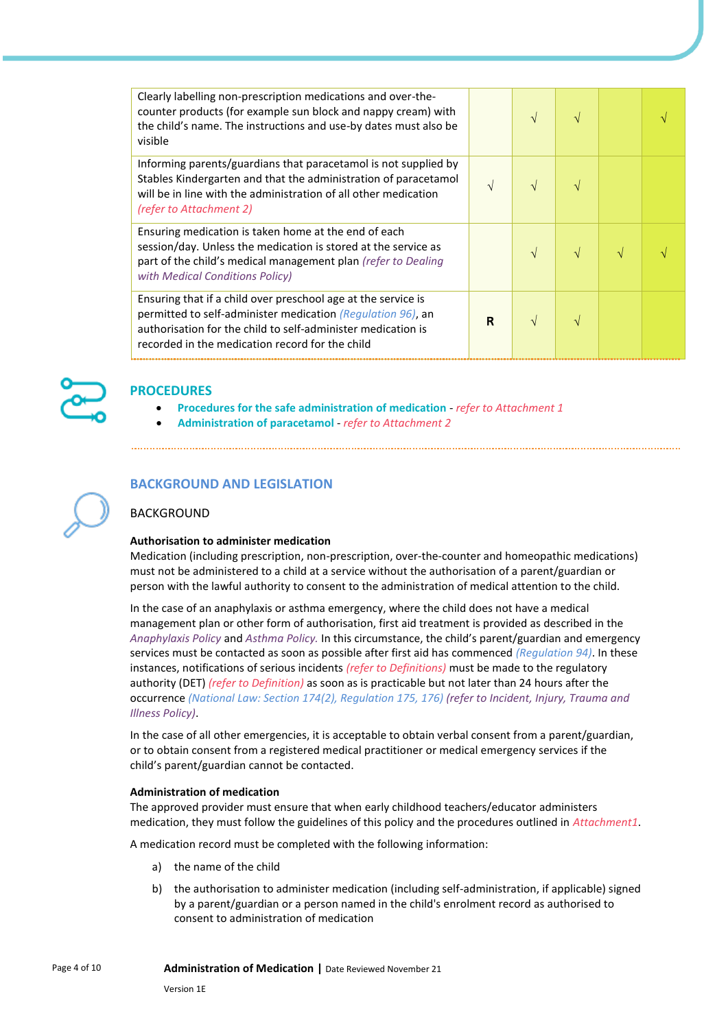| Clearly labelling non-prescription medications and over-the-<br>counter products (for example sun block and nappy cream) with<br>the child's name. The instructions and use-by dates must also be<br>visible                                    |   | $\sqrt{ }$ |  |  |
|-------------------------------------------------------------------------------------------------------------------------------------------------------------------------------------------------------------------------------------------------|---|------------|--|--|
| Informing parents/guardians that paracetamol is not supplied by<br>Stables Kindergarten and that the administration of paracetamol<br>will be in line with the administration of all other medication<br>(refer to Attachment 2)                | V | $\sqrt{ }$ |  |  |
| Ensuring medication is taken home at the end of each<br>session/day. Unless the medication is stored at the service as<br>part of the child's medical management plan (refer to Dealing<br>with Medical Conditions Policy)                      |   | $\sqrt{}$  |  |  |
| Ensuring that if a child over preschool age at the service is<br>permitted to self-administer medication (Regulation 96), an<br>authorisation for the child to self-administer medication is<br>recorded in the medication record for the child | R | $\sqrt{ }$ |  |  |



## **PROCEDURES**

- **Procedures for the safe administration of medication** *refer to Attachment 1*
- **Administration of paracetamol** *refer to Attachment 2*

## **BACKGROUND AND LEGISLATION**

#### BACKGROUND

#### **Authorisation to administer medication**

Medication (including prescription, non-prescription, over-the-counter and homeopathic medications) must not be administered to a child at a service without the authorisation of a parent/guardian or person with the lawful authority to consent to the administration of medical attention to the child.

In the case of an anaphylaxis or asthma emergency, where the child does not have a medical management plan or other form of authorisation, first aid treatment is provided as described in the *Anaphylaxis Policy* and *Asthma Policy.* In this circumstance, the child's parent/guardian and emergency services must be contacted as soon as possible after first aid has commenced *(Regulation 94)*. In these instances, notifications of serious incidents *(refer to Definitions)* must be made to the regulatory authority (DET) *(refer to Definition)* as soon as is practicable but not later than 24 hours after the occurrence *(National Law: Section 174(2), Regulation 175, 176) (refer to Incident, Injury, Trauma and Illness Policy)*.

In the case of all other emergencies, it is acceptable to obtain verbal consent from a parent/guardian, or to obtain consent from a registered medical practitioner or medical emergency services if the child's parent/guardian cannot be contacted.

#### **Administration of medication**

The approved provider must ensure that when early childhood teachers/educator administers medication, they must follow the guidelines of this policy and the procedures outlined in *Attachment1*.

A medication record must be completed with the following information:

- a) the name of the child
- b) the authorisation to administer medication (including self-administration, if applicable) signed by a parent/guardian or a person named in the child's enrolment record as authorised to consent to administration of medication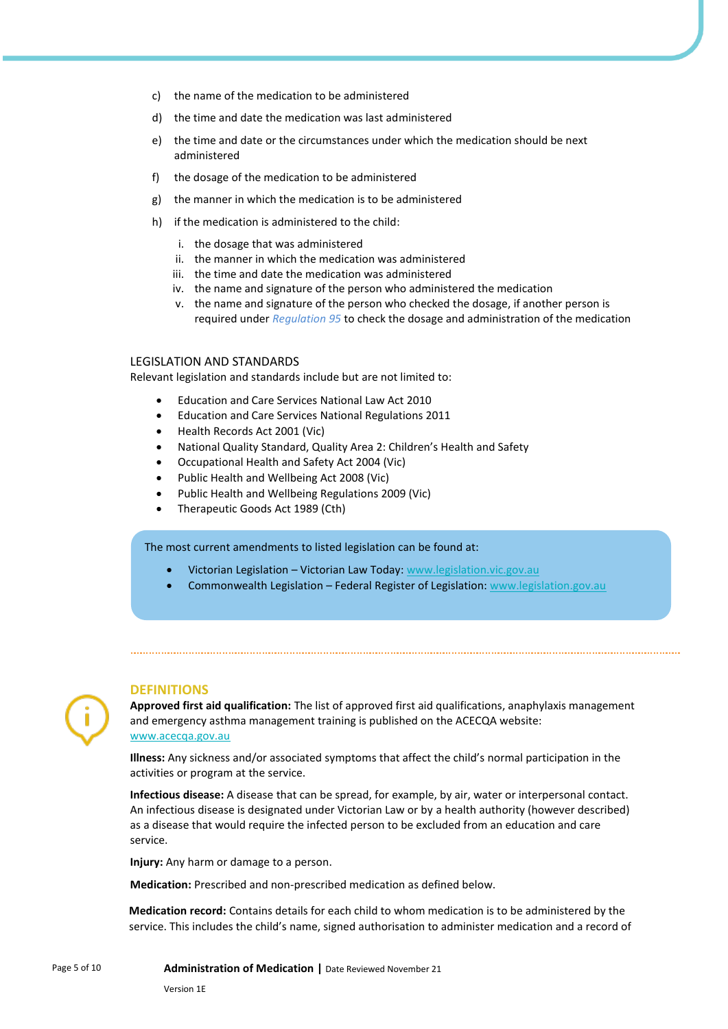- c) the name of the medication to be administered
- d) the time and date the medication was last administered
- e) the time and date or the circumstances under which the medication should be next administered
- f) the dosage of the medication to be administered
- g) the manner in which the medication is to be administered
- h) if the medication is administered to the child:
	- i. the dosage that was administered
	- ii. the manner in which the medication was administered
	- iii. the time and date the medication was administered
	- iv. the name and signature of the person who administered the medication
	- v. the name and signature of the person who checked the dosage, if another person is required under *Regulation 95* to check the dosage and administration of the medication

#### LEGISLATION AND STANDARDS

Relevant legislation and standards include but are not limited to:

- Education and Care Services National Law Act 2010
- Education and Care Services National Regulations 2011
- Health Records Act 2001 (Vic)
- National Quality Standard, Quality Area 2: Children's Health and Safety
- Occupational Health and Safety Act 2004 (Vic)
- Public Health and Wellbeing Act 2008 (Vic)
- Public Health and Wellbeing Regulations 2009 (Vic)
- Therapeutic Goods Act 1989 (Cth)

#### The most current amendments to listed legislation can be found at:

- Victorian Legislation Victorian Law Today: [www.legislation.vic.gov.au](http://www.legislation.vic.gov.au/)
- Commonwealth Legislation Federal Register of Legislation: [www.legislation.gov.au](http://www.legislation.gov.au/)

#### **DEFINITIONS**

**Approved first aid qualification:** The list of approved first aid qualifications, anaphylaxis management and emergency asthma management training is published on the ACECQA website: [www.acecqa.gov.au](https://www.acecqa.gov.au/)

**Illness:** Any sickness and/or associated symptoms that affect the child's normal participation in the activities or program at the service.

**Infectious disease:** A disease that can be spread, for example, by air, water or interpersonal contact. An infectious disease is designated under Victorian Law or by a health authority (however described) as a disease that would require the infected person to be excluded from an education and care service.

**Injury:** Any harm or damage to a person.

**Medication:** Prescribed and non-prescribed medication as defined below.

**Medication record:** Contains details for each child to whom medication is to be administered by the service. This includes the child's name, signed authorisation to administer medication and a record of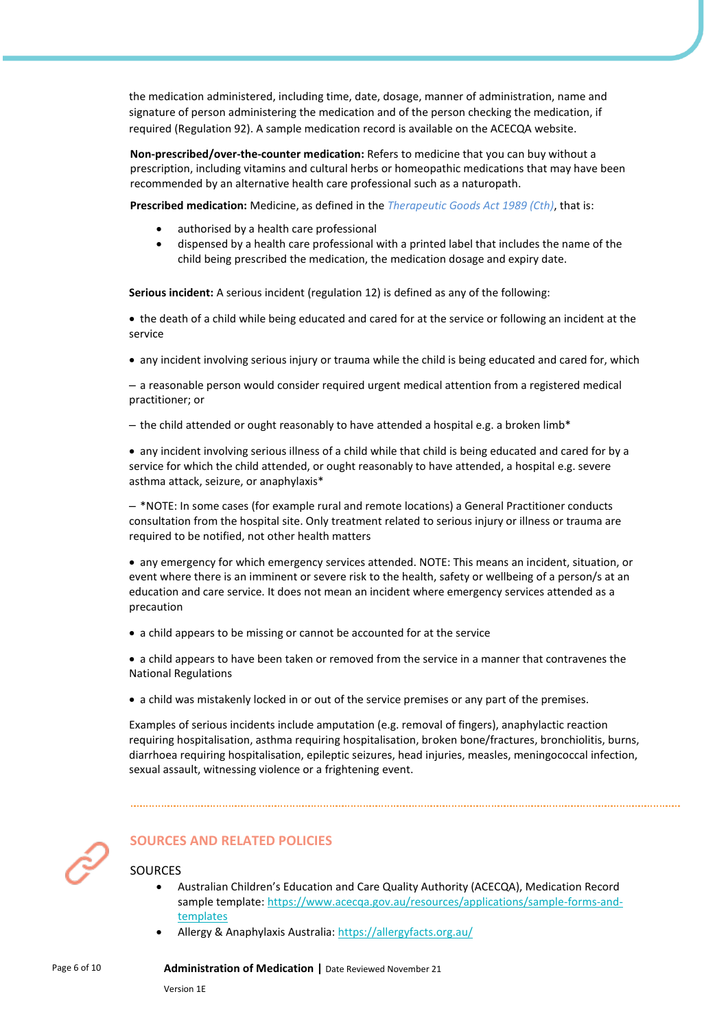the medication administered, including time, date, dosage, manner of administration, name and signature of person administering the medication and of the person checking the medication, if required (Regulation 92). A sample medication record is available on the ACECQA website.

**Non-prescribed/over-the-counter medication:** Refers to medicine that you can buy without a prescription, including vitamins and cultural herbs or homeopathic medications that may have been recommended by an alternative health care professional such as a naturopath.

**Prescribed medication:** Medicine, as defined in the *Therapeutic Goods Act 1989 (Cth)*, that is:

- authorised by a health care professional
- dispensed by a health care professional with a printed label that includes the name of the child being prescribed the medication, the medication dosage and expiry date.

**Serious incident:** A serious incident (regulation 12) is defined as any of the following:

• the death of a child while being educated and cared for at the service or following an incident at the service

• any incident involving serious injury or trauma while the child is being educated and cared for, which

– a reasonable person would consider required urgent medical attention from a registered medical practitioner; or

 $-$  the child attended or ought reasonably to have attended a hospital e.g. a broken limb\*

• any incident involving serious illness of a child while that child is being educated and cared for by a service for which the child attended, or ought reasonably to have attended, a hospital e.g. severe asthma attack, seizure, or anaphylaxis\*

– \*NOTE: In some cases (for example rural and remote locations) a General Practitioner conducts consultation from the hospital site. Only treatment related to serious injury or illness or trauma are required to be notified, not other health matters

• any emergency for which emergency services attended. NOTE: This means an incident, situation, or event where there is an imminent or severe risk to the health, safety or wellbeing of a person/s at an education and care service. It does not mean an incident where emergency services attended as a precaution

- a child appears to be missing or cannot be accounted for at the service
- a child appears to have been taken or removed from the service in a manner that contravenes the National Regulations
- a child was mistakenly locked in or out of the service premises or any part of the premises.

Examples of serious incidents include amputation (e.g. removal of fingers), anaphylactic reaction requiring hospitalisation, asthma requiring hospitalisation, broken bone/fractures, bronchiolitis, burns, diarrhoea requiring hospitalisation, epileptic seizures, head injuries, measles, meningococcal infection, sexual assault, witnessing violence or a frightening event.



## **SOURCES AND RELATED POLICIES**

#### SOURCES

- Australian Children's Education and Care Quality Authority (ACECQA), Medication Record sample template: [https://www.acecqa.gov.au/resources/applications/sample-forms-and](https://www.acecqa.gov.au/resources/applications/sample-forms-and-templates)[templates](https://www.acecqa.gov.au/resources/applications/sample-forms-and-templates)
- Allergy & Anaphylaxis Australia[: https://allergyfacts.org.au/](https://allergyfacts.org.au/)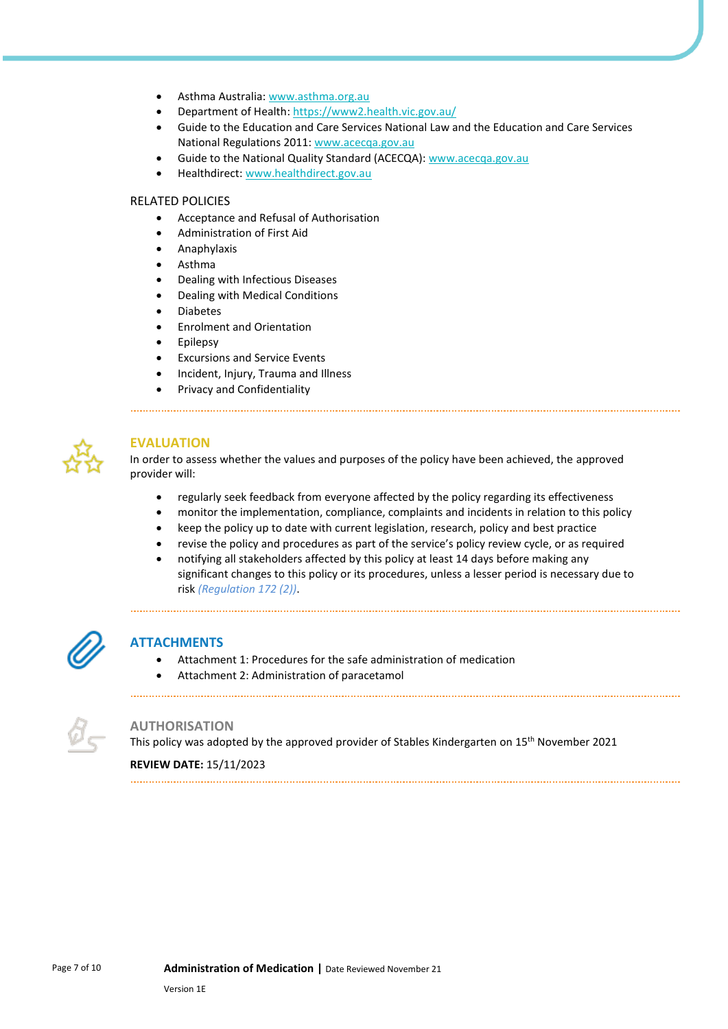- Asthma Australia[: www.asthma.org.au](https://asthma.org.au/)
- Department of Health[: https://www2.health.vic.gov.au/](https://www2.health.vic.gov.au/)
- Guide to the Education and Care Services National Law and the Education and Care Services National Regulations 2011: [www.acecqa.gov.au](https://www.acecqa.gov.au/)
- Guide to the National Quality Standard (ACECQA): [www.acecqa.gov.au](https://www.acecqa.gov.au/)
- Healthdirect: [www.healthdirect.gov.au](http://www.healthdirect.gov.au/)

#### RELATED POLICIES

- Acceptance and Refusal of Authorisation
- Administration of First Aid
- Anaphylaxis
- Asthma
- Dealing with Infectious Diseases
- Dealing with Medical Conditions
- Diabetes
- Enrolment and Orientation
- **Epilepsy**
- Excursions and Service Events
- Incident, Injury, Trauma and Illness
- Privacy and Confidentiality

## **EVALUATION**

In order to assess whether the values and purposes of the policy have been achieved, the approved provider will:

- regularly seek feedback from everyone affected by the policy regarding its effectiveness
- monitor the implementation, compliance, complaints and incidents in relation to this policy
- keep the policy up to date with current legislation, research, policy and best practice
- revise the policy and procedures as part of the service's policy review cycle, or as required
- notifying all stakeholders affected by this policy at least 14 days before making any significant changes to this policy or its procedures, unless a lesser period is necessary due to risk *(Regulation 172 (2))*.

## **ATTACHMENTS**

- Attachment 1: Procedures for the safe administration of medication
- Attachment 2: Administration of paracetamol



#### **AUTHORISATION**

This policy was adopted by the approved provider of Stables Kindergarten on 15th November 2021

#### **REVIEW DATE:** 15/11/2023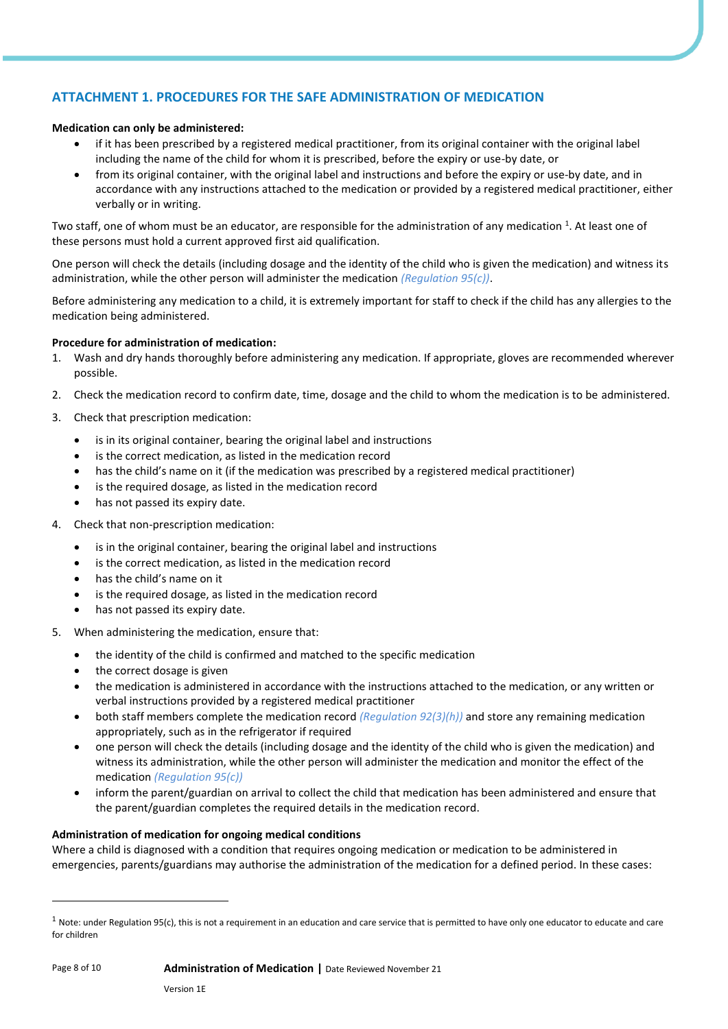# **ATTACHMENT 1. PROCEDURES FOR THE SAFE ADMINISTRATION OF MEDICATION**

## **Medication can only be administered:**

- if it has been prescribed by a registered medical practitioner, from its original container with the original label including the name of the child for whom it is prescribed, before the expiry or use-by date, or
- from its original container, with the original label and instructions and before the expiry or use-by date, and in accordance with any instructions attached to the medication or provided by a registered medical practitioner, either verbally or in writing.

Two staff, one of whom must be an educator, are responsible for the administration of any medication <sup>1</sup>. At least one of these persons must hold a current approved first aid qualification.

One person will check the details (including dosage and the identity of the child who is given the medication) and witness its administration, while the other person will administer the medication *(Regulation 95(c))*.

Before administering any medication to a child, it is extremely important for staff to check if the child has any allergies to the medication being administered.

#### **Procedure for administration of medication:**

- 1. Wash and dry hands thoroughly before administering any medication. If appropriate, gloves are recommended wherever possible.
- 2. Check the medication record to confirm date, time, dosage and the child to whom the medication is to be administered.
- 3. Check that prescription medication:
	- is in its original container, bearing the original label and instructions
	- is the correct medication, as listed in the medication record
	- has the child's name on it (if the medication was prescribed by a registered medical practitioner)
	- is the required dosage, as listed in the medication record
	- has not passed its expiry date.
- 4. Check that non-prescription medication:
	- is in the original container, bearing the original label and instructions
	- is the correct medication, as listed in the medication record
	- has the child's name on it
	- is the required dosage, as listed in the medication record
	- has not passed its expiry date.
- 5. When administering the medication, ensure that:
	- the identity of the child is confirmed and matched to the specific medication
	- the correct dosage is given
	- the medication is administered in accordance with the instructions attached to the medication, or any written or verbal instructions provided by a registered medical practitioner
	- both staff members complete the medication record *(Regulation 92(3)(h))* and store any remaining medication appropriately, such as in the refrigerator if required
	- one person will check the details (including dosage and the identity of the child who is given the medication) and witness its administration, while the other person will administer the medication and monitor the effect of the medication *(Regulation 95(c))*
	- inform the parent/guardian on arrival to collect the child that medication has been administered and ensure that the parent/guardian completes the required details in the medication record.

#### **Administration of medication for ongoing medical conditions**

Where a child is diagnosed with a condition that requires ongoing medication or medication to be administered in emergencies, parents/guardians may authorise the administration of the medication for a defined period. In these cases:

 $1$  Note: under Regulation 95(c), this is not a requirement in an education and care service that is permitted to have only one educator to educate and care for children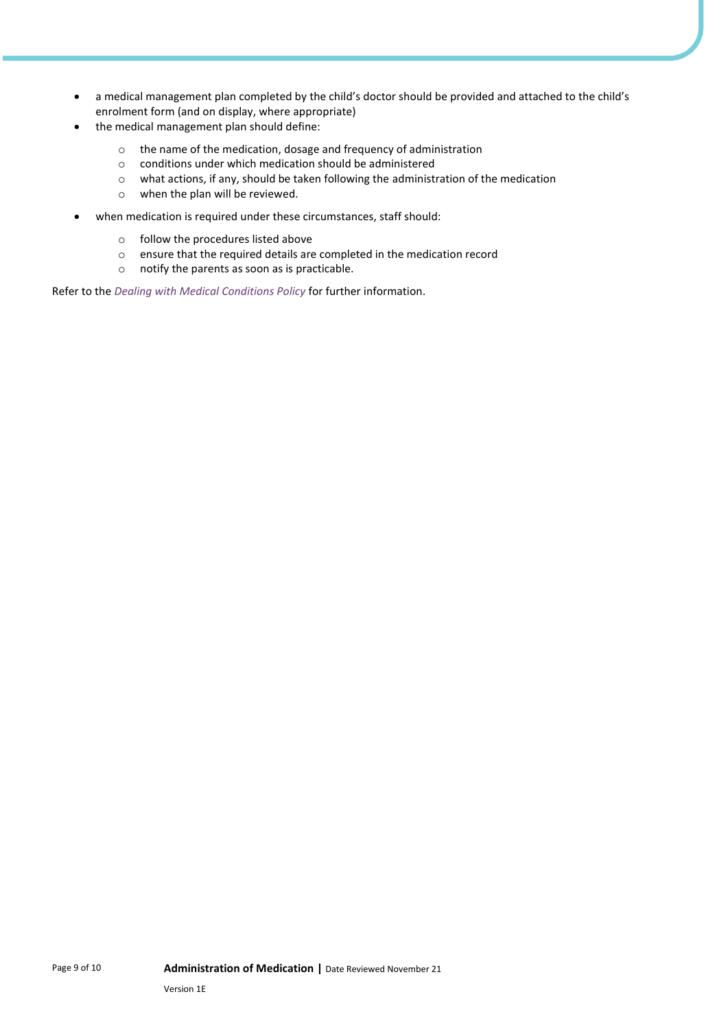- a medical management plan completed by the child's doctor should be provided and attached to the child's enrolment form (and on display, where appropriate)
- the medical management plan should define:
	- o the name of the medication, dosage and frequency of administration
	- o conditions under which medication should be administered
	- o what actions, if any, should be taken following the administration of the medication
	- o when the plan will be reviewed.
- when medication is required under these circumstances, staff should:
	- o follow the procedures listed above
	- o ensure that the required details are completed in the medication record
	- o notify the parents as soon as is practicable.

Refer to the *Dealing with Medical Conditions Policy* for further information.